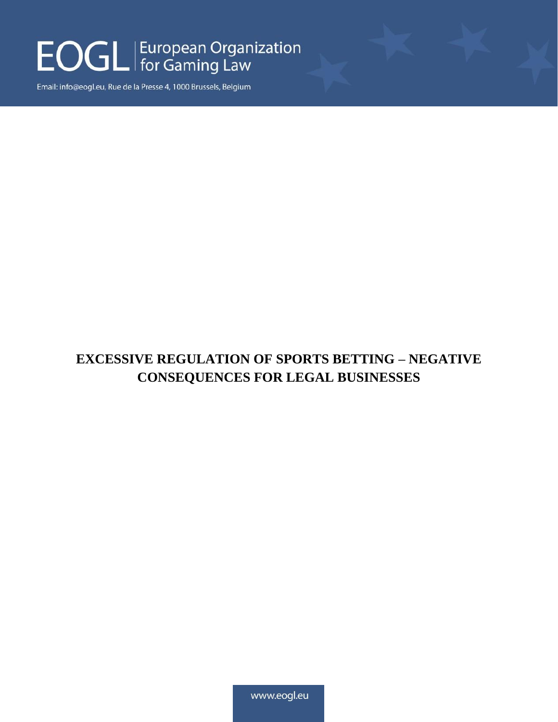### EOGL | European Organization

Email: info@eogl.eu, Rue de la Presse 4, 1000 Brussels, Belgium

#### **EXCESSIVE REGULATION OF SPORTS BETTING – NEGATIVE CONSEQUENCES FOR LEGAL BUSINESSES**

www.eogl.eu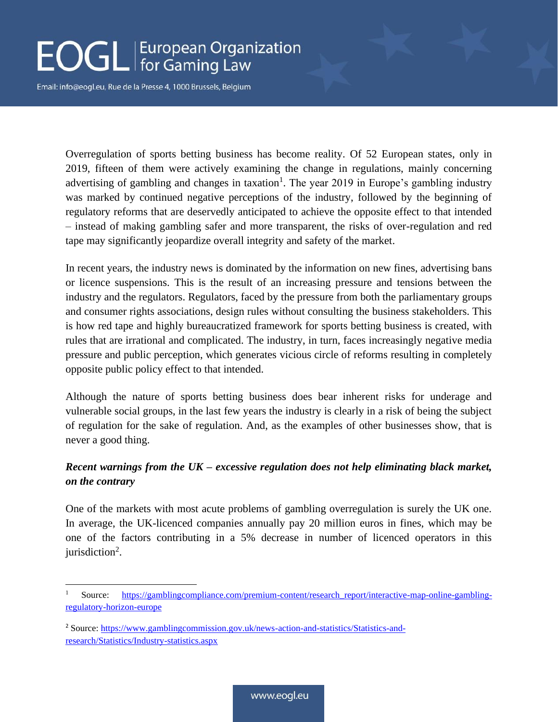# EOGL | European Organization

Email: info@eogl.eu, Rue de la Presse 4, 1000 Brussels, Belgium

Overregulation of sports betting business has become reality. Of 52 European states, only in 2019, fifteen of them were actively examining the change in regulations, mainly concerning advertising of gambling and changes in taxation<sup>1</sup>. The year 2019 in Europe's gambling industry was marked by continued negative perceptions of the industry, followed by the beginning of regulatory reforms that are deservedly anticipated to achieve the opposite effect to that intended – instead of making gambling safer and more transparent, the risks of over-regulation and red tape may significantly jeopardize overall integrity and safety of the market.

In recent years, the industry news is dominated by the information on new fines, advertising bans or licence suspensions. This is the result of an increasing pressure and tensions between the industry and the regulators. Regulators, faced by the pressure from both the parliamentary groups and consumer rights associations, design rules without consulting the business stakeholders. This is how red tape and highly bureaucratized framework for sports betting business is created, with rules that are irrational and complicated. The industry, in turn, faces increasingly negative media pressure and public perception, which generates vicious circle of reforms resulting in completely opposite public policy effect to that intended.

Although the nature of sports betting business does bear inherent risks for underage and vulnerable social groups, in the last few years the industry is clearly in a risk of being the subject of regulation for the sake of regulation. And, as the examples of other businesses show, that is never a good thing.

#### *Recent warnings from the UK – excessive regulation does not help eliminating black market, on the contrary*

One of the markets with most acute problems of gambling overregulation is surely the UK one. In average, the UK-licenced companies annually pay 20 million euros in fines, which may be one of the factors contributing in a 5% decrease in number of licenced operators in this jurisdiction<sup>2</sup>.

Source: [https://gamblingcompliance.com/premium-content/research\\_report/interactive-map-online-gambling](https://gamblingcompliance.com/premium-content/research_report/interactive-map-online-gambling-regulatory-horizon-europe)[regulatory-horizon-europe](https://gamblingcompliance.com/premium-content/research_report/interactive-map-online-gambling-regulatory-horizon-europe)

<sup>2</sup> Source[: https://www.gamblingcommission.gov.uk/news-action-and-statistics/Statistics-and](https://www.gamblingcommission.gov.uk/news-action-and-statistics/Statistics-and-research/Statistics/Industry-statistics.aspx)[research/Statistics/Industry-statistics.aspx](https://www.gamblingcommission.gov.uk/news-action-and-statistics/Statistics-and-research/Statistics/Industry-statistics.aspx)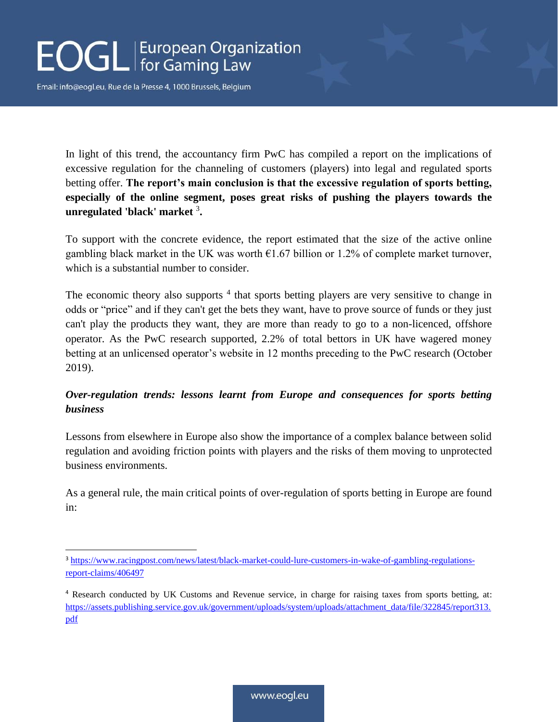# **EOGL** European Organization

Email: info@eogl.eu, Rue de la Presse 4, 1000 Brussels, Belgium

In light of this trend, the accountancy firm PwC has compiled a report on the implications of excessive regulation for the channeling of customers (players) into legal and regulated sports betting offer. **The report's main conclusion is that the excessive regulation of sports betting, especially of the online segment, poses great risks of pushing the players towards the unregulated 'black' market** <sup>3</sup> **.**

To support with the concrete evidence, the report estimated that the size of the active online gambling black market in the UK was worth  $E1.67$  billion or 1.2% of complete market turnover, which is a substantial number to consider.

The economic theory also supports<sup>4</sup> that sports betting players are very sensitive to change in odds or "price" and if they can't get the bets they want, have to prove source of funds or they just can't play the products they want, they are more than ready to go to a non-licenced, offshore operator. As the PwC research supported, 2.2% of total bettors in UK have wagered money betting at an unlicensed operator's website in 12 months preceding to the PwC research (October 2019).

#### *Over-regulation trends: lessons learnt from Europe and consequences for sports betting business*

Lessons from elsewhere in Europe also show the importance of a complex balance between solid regulation and avoiding friction points with players and the risks of them moving to unprotected business environments.

As a general rule, the main critical points of over-regulation of sports betting in Europe are found in:

<sup>3</sup> [https://www.racingpost.com/news/latest/black-market-could-lure-customers-in-wake-of-gambling-regulations](https://www.racingpost.com/news/latest/black-market-could-lure-customers-in-wake-of-gambling-regulations-report-claims/406497)[report-claims/406497](https://www.racingpost.com/news/latest/black-market-could-lure-customers-in-wake-of-gambling-regulations-report-claims/406497)

<sup>4</sup> Research conducted by UK Customs and Revenue service, in charge for raising taxes from sports betting, at: [https://assets.publishing.service.gov.uk/government/uploads/system/uploads/attachment\\_data/file/322845/report313.](https://assets.publishing.service.gov.uk/government/uploads/system/uploads/attachment_data/file/322845/report313.pdf) [pdf](https://assets.publishing.service.gov.uk/government/uploads/system/uploads/attachment_data/file/322845/report313.pdf)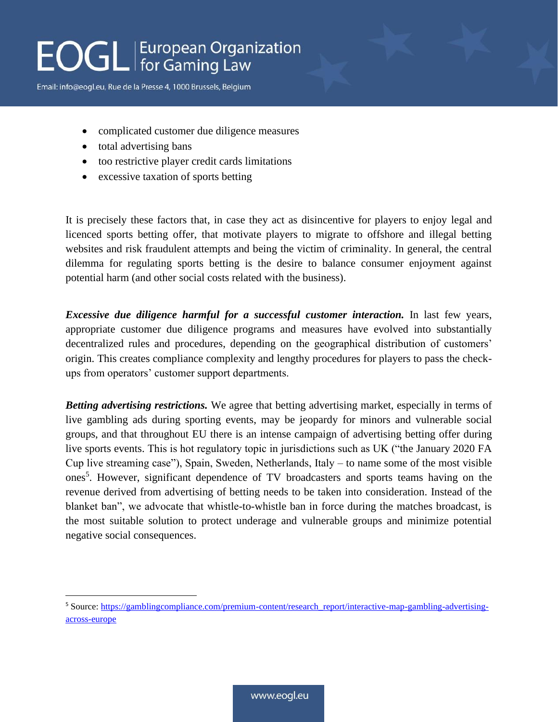# **EOGL** European Organization

Email: info@eogl.eu, Rue de la Presse 4, 1000 Brussels, Belgium

- complicated customer due diligence measures
- total advertising bans
- too restrictive player credit cards limitations
- excessive taxation of sports betting

It is precisely these factors that, in case they act as disincentive for players to enjoy legal and licenced sports betting offer, that motivate players to migrate to offshore and illegal betting websites and risk fraudulent attempts and being the victim of criminality. In general, the central dilemma for regulating sports betting is the desire to balance consumer enjoyment against potential harm (and other social costs related with the business).

*Excessive due diligence harmful for a successful customer interaction.* In last few years, appropriate customer due diligence programs and measures have evolved into substantially decentralized rules and procedures, depending on the geographical distribution of customers' origin. This creates compliance complexity and lengthy procedures for players to pass the checkups from operators' customer support departments.

*Betting advertising restrictions.* We agree that betting advertising market, especially in terms of live gambling ads during sporting events, may be jeopardy for minors and vulnerable social groups, and that throughout EU there is an intense campaign of advertising betting offer during live sports events. This is hot regulatory topic in jurisdictions such as UK ("the January 2020 FA Cup live streaming case"), Spain, Sweden, Netherlands, Italy – to name some of the most visible ones<sup>5</sup>. However, significant dependence of TV broadcasters and sports teams having on the revenue derived from advertising of betting needs to be taken into consideration. Instead of the blanket ban", we advocate that whistle-to-whistle ban in force during the matches broadcast, is the most suitable solution to protect underage and vulnerable groups and minimize potential negative social consequences.

<sup>5</sup> Source[: https://gamblingcompliance.com/premium-content/research\\_report/interactive-map-gambling-advertising](https://gamblingcompliance.com/premium-content/research_report/interactive-map-gambling-advertising-across-europe)[across-europe](https://gamblingcompliance.com/premium-content/research_report/interactive-map-gambling-advertising-across-europe)